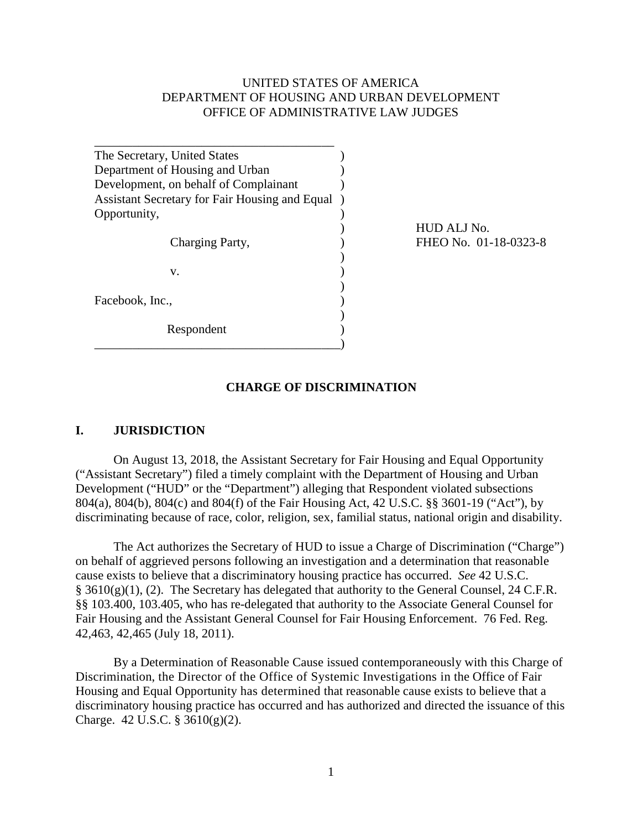#### UNITED STATES OF AMERICA DEPARTMENT OF HOUSING AND URBAN DEVELOPMENT OFFICE OF ADMINISTRATIVE LAW JUDGES

| The Secretary, United States                   |  |
|------------------------------------------------|--|
| Department of Housing and Urban                |  |
| Development, on behalf of Complainant          |  |
| Assistant Secretary for Fair Housing and Equal |  |
| Opportunity,                                   |  |
|                                                |  |
| Charging Party,                                |  |
|                                                |  |
| v.                                             |  |
|                                                |  |
| Facebook, Inc.,                                |  |
|                                                |  |
| Respondent                                     |  |
|                                                |  |

 ) HUD ALJ No. FHEO No. 01-18-0323-8

#### **CHARGE OF DISCRIMINATION**

#### **I. JURISDICTION**

On August 13, 2018, the Assistant Secretary for Fair Housing and Equal Opportunity ("Assistant Secretary") filed a timely complaint with the Department of Housing and Urban Development ("HUD" or the "Department") alleging that Respondent violated subsections 804(a), 804(b), 804(c) and 804(f) of the Fair Housing Act, 42 U.S.C. §§ 3601-19 ("Act"), by discriminating because of race, color, religion, sex, familial status, national origin and disability.

The Act authorizes the Secretary of HUD to issue a Charge of Discrimination ("Charge") on behalf of aggrieved persons following an investigation and a determination that reasonable cause exists to believe that a discriminatory housing practice has occurred. *See* 42 U.S.C.  $§ 3610(g)(1)$ , (2). The Secretary has delegated that authority to the General Counsel, 24 C.F.R. §§ 103.400, 103.405, who has re-delegated that authority to the Associate General Counsel for Fair Housing and the Assistant General Counsel for Fair Housing Enforcement. 76 Fed. Reg. 42,463, 42,465 (July 18, 2011).

By a Determination of Reasonable Cause issued contemporaneously with this Charge of Discrimination, the Director of the Office of Systemic Investigations in the Office of Fair Housing and Equal Opportunity has determined that reasonable cause exists to believe that a discriminatory housing practice has occurred and has authorized and directed the issuance of this Charge. 42 U.S.C. § 3610(g)(2).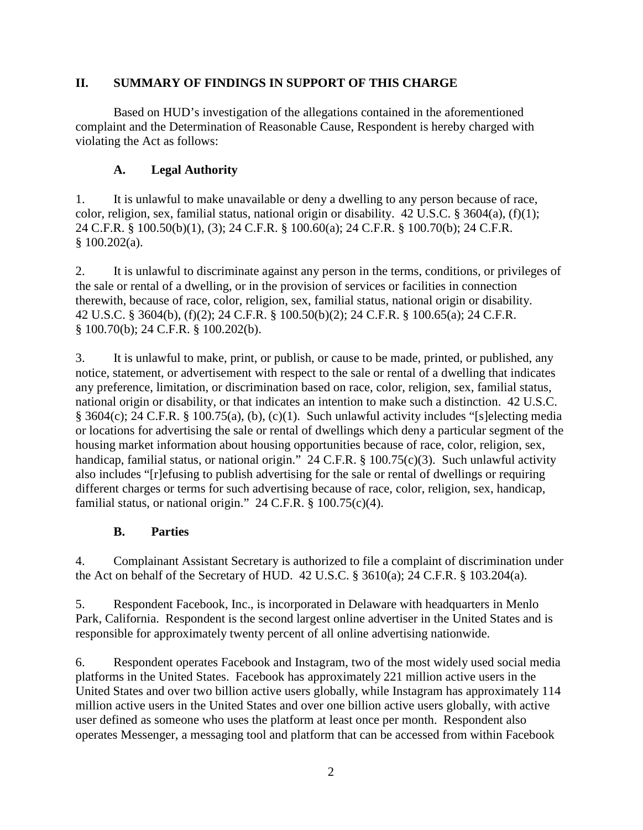### **II. SUMMARY OF FINDINGS IN SUPPORT OF THIS CHARGE**

Based on HUD's investigation of the allegations contained in the aforementioned complaint and the Determination of Reasonable Cause, Respondent is hereby charged with violating the Act as follows:

## **A. Legal Authority**

1. It is unlawful to make unavailable or deny a dwelling to any person because of race, color, religion, sex, familial status, national origin or disability. 42 U.S.C. § 3604(a), (f)(1); 24 C.F.R. § 100.50(b)(1), (3); 24 C.F.R. § 100.60(a); 24 C.F.R. § 100.70(b); 24 C.F.R. § 100.202(a).

2. It is unlawful to discriminate against any person in the terms, conditions, or privileges of the sale or rental of a dwelling, or in the provision of services or facilities in connection therewith, because of race, color, religion, sex, familial status, national origin or disability. 42 U.S.C. § 3604(b), (f)(2); 24 C.F.R. § 100.50(b)(2); 24 C.F.R. § 100.65(a); 24 C.F.R. § 100.70(b); 24 C.F.R. § 100.202(b).

3. It is unlawful to make, print, or publish, or cause to be made, printed, or published, any notice, statement, or advertisement with respect to the sale or rental of a dwelling that indicates any preference, limitation, or discrimination based on race, color, religion, sex, familial status, national origin or disability, or that indicates an intention to make such a distinction. 42 U.S.C. § 3604(c); 24 C.F.R. § 100.75(a), (b), (c)(1). Such unlawful activity includes "[s]electing media or locations for advertising the sale or rental of dwellings which deny a particular segment of the housing market information about housing opportunities because of race, color, religion, sex, handicap, familial status, or national origin." 24 C.F.R. § 100.75(c)(3). Such unlawful activity also includes "[r]efusing to publish advertising for the sale or rental of dwellings or requiring different charges or terms for such advertising because of race, color, religion, sex, handicap, familial status, or national origin."  $24$  C.F.R. § 100.75(c)(4).

### **B. Parties**

4. Complainant Assistant Secretary is authorized to file a complaint of discrimination under the Act on behalf of the Secretary of HUD. 42 U.S.C. § 3610(a); 24 C.F.R. § 103.204(a).

5. Respondent Facebook, Inc., is incorporated in Delaware with headquarters in Menlo Park, California. Respondent is the second largest online advertiser in the United States and is responsible for approximately twenty percent of all online advertising nationwide.

6. Respondent operates Facebook and Instagram, two of the most widely used social media platforms in the United States. Facebook has approximately 221 million active users in the United States and over two billion active users globally, while Instagram has approximately 114 million active users in the United States and over one billion active users globally, with active user defined as someone who uses the platform at least once per month. Respondent also operates Messenger, a messaging tool and platform that can be accessed from within Facebook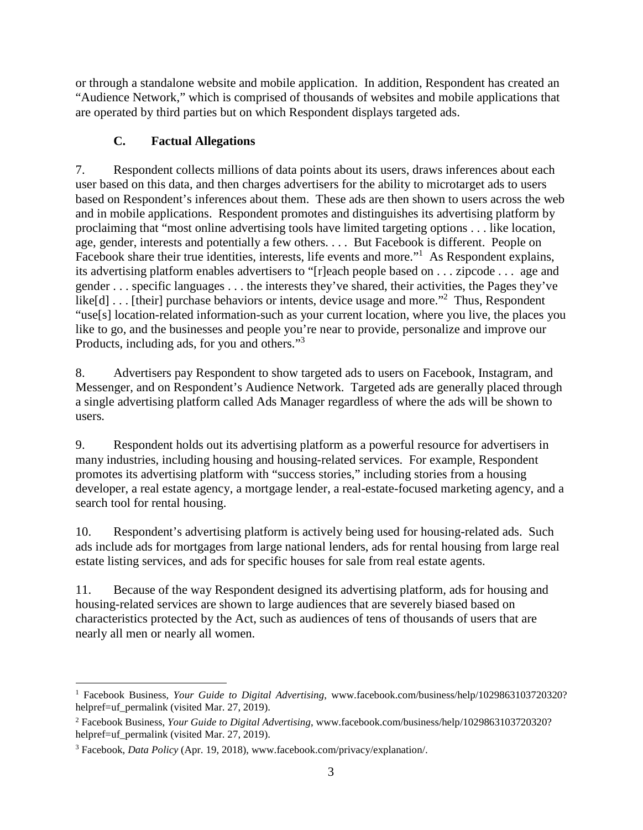or through a standalone website and mobile application. In addition, Respondent has created an "Audience Network," which is comprised of thousands of websites and mobile applications that are operated by third parties but on which Respondent displays targeted ads.

## **C. Factual Allegations**

7. Respondent collects millions of data points about its users, draws inferences about each user based on this data, and then charges advertisers for the ability to microtarget ads to users based on Respondent's inferences about them. These ads are then shown to users across the web and in mobile applications. Respondent promotes and distinguishes its advertising platform by proclaiming that "most online advertising tools have limited targeting options . . . like location, age, gender, interests and potentially a few others. . . . But Facebook is different. People on Facebook share their true identities, interests, life events and more."<sup>1</sup> As Respondent explains, its advertising platform enables advertisers to "[r]each people based on . . . zipcode . . . age and gender . . . specific languages . . . the interests they've shared, their activities, the Pages they've like[d] . . . [their] purchase behaviors or intents, device usage and more."<sup>2</sup> Thus, Respondent "use[s] location-related information-such as your current location, where you live, the places you like to go, and the businesses and people you're near to provide, personalize and improve our Products, including ads, for you and others."<sup>3</sup>

8. Advertisers pay Respondent to show targeted ads to users on Facebook, Instagram, and Messenger, and on Respondent's Audience Network. Targeted ads are generally placed through a single advertising platform called Ads Manager regardless of where the ads will be shown to users.

9. Respondent holds out its advertising platform as a powerful resource for advertisers in many industries, including housing and housing-related services. For example, Respondent promotes its advertising platform with "success stories," including stories from a housing developer, a real estate agency, a mortgage lender, a real-estate-focused marketing agency, and a search tool for rental housing.

10. Respondent's advertising platform is actively being used for housing-related ads. Such ads include ads for mortgages from large national lenders, ads for rental housing from large real estate listing services, and ads for specific houses for sale from real estate agents.

11. Because of the way Respondent designed its advertising platform, ads for housing and housing-related services are shown to large audiences that are severely biased based on characteristics protected by the Act, such as audiences of tens of thousands of users that are nearly all men or nearly all women.

 <sup>1</sup> Facebook Business, *Your Guide to Digital Advertising*, www.facebook.com/business/help/1029863103720320? helpref=uf\_permalink (visited Mar. 27, 2019).

<sup>2</sup> Facebook Business, *Your Guide to Digital Advertising*, www.facebook.com/business/help/1029863103720320? helpref=uf permalink (visited Mar. 27, 2019).

<sup>3</sup> Facebook, *Data Policy* (Apr. 19, 2018), www.facebook.com/privacy/explanation/.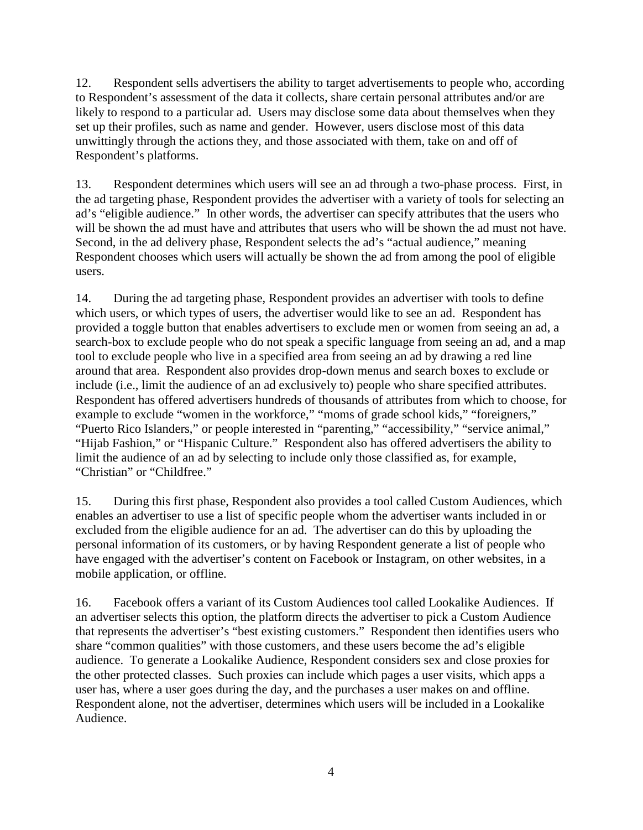12. Respondent sells advertisers the ability to target advertisements to people who, according to Respondent's assessment of the data it collects, share certain personal attributes and/or are likely to respond to a particular ad. Users may disclose some data about themselves when they set up their profiles, such as name and gender. However, users disclose most of this data unwittingly through the actions they, and those associated with them, take on and off of Respondent's platforms.

13. Respondent determines which users will see an ad through a two-phase process. First, in the ad targeting phase, Respondent provides the advertiser with a variety of tools for selecting an ad's "eligible audience." In other words, the advertiser can specify attributes that the users who will be shown the ad must have and attributes that users who will be shown the ad must not have. Second, in the ad delivery phase, Respondent selects the ad's "actual audience," meaning Respondent chooses which users will actually be shown the ad from among the pool of eligible users.

14. During the ad targeting phase, Respondent provides an advertiser with tools to define which users, or which types of users, the advertiser would like to see an ad. Respondent has provided a toggle button that enables advertisers to exclude men or women from seeing an ad, a search-box to exclude people who do not speak a specific language from seeing an ad, and a map tool to exclude people who live in a specified area from seeing an ad by drawing a red line around that area. Respondent also provides drop-down menus and search boxes to exclude or include (i.e., limit the audience of an ad exclusively to) people who share specified attributes. Respondent has offered advertisers hundreds of thousands of attributes from which to choose, for example to exclude "women in the workforce," "moms of grade school kids," "foreigners," "Puerto Rico Islanders," or people interested in "parenting," "accessibility," "service animal," "Hijab Fashion," or "Hispanic Culture." Respondent also has offered advertisers the ability to limit the audience of an ad by selecting to include only those classified as, for example, "Christian" or "Childfree."

15. During this first phase, Respondent also provides a tool called Custom Audiences, which enables an advertiser to use a list of specific people whom the advertiser wants included in or excluded from the eligible audience for an ad. The advertiser can do this by uploading the personal information of its customers, or by having Respondent generate a list of people who have engaged with the advertiser's content on Facebook or Instagram, on other websites, in a mobile application, or offline.

16. Facebook offers a variant of its Custom Audiences tool called Lookalike Audiences. If an advertiser selects this option, the platform directs the advertiser to pick a Custom Audience that represents the advertiser's "best existing customers." Respondent then identifies users who share "common qualities" with those customers, and these users become the ad's eligible audience. To generate a Lookalike Audience, Respondent considers sex and close proxies for the other protected classes. Such proxies can include which pages a user visits, which apps a user has, where a user goes during the day, and the purchases a user makes on and offline. Respondent alone, not the advertiser, determines which users will be included in a Lookalike Audience.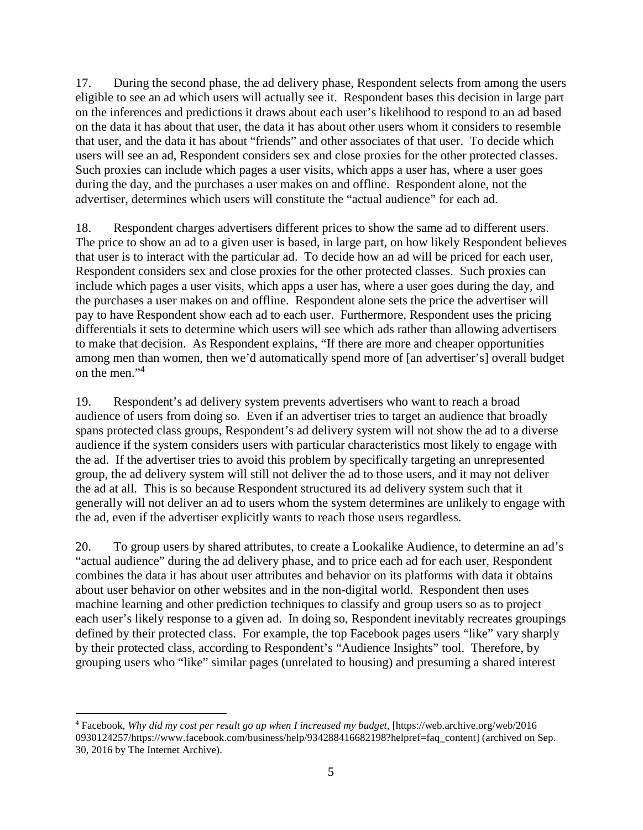17. During the second phase, the ad delivery phase, Respondent selects from among the users eligible to see an ad which users will actually see it. Respondent bases this decision in large part on the inferences and predictions it draws about each user's likelihood to respond to an ad based on the data it has about that user, the data it has about other users whom it considers to resemble that user, and the data it has about "friends" and other associates of that user. To decide which users will see an ad, Respondent considers sex and close proxies for the other protected classes. Such proxies can include which pages a user visits, which apps a user has, where a user goes during the day, and the purchases a user makes on and offline. Respondent alone, not the advertiser, determines which users will constitute the "actual audience" for each ad.

18. Respondent charges advertisers different prices to show the same ad to different users. The price to show an ad to a given user is based, in large part, on how likely Respondent believes that user is to interact with the particular ad. To decide how an ad will be priced for each user, Respondent considers sex and close proxies for the other protected classes. Such proxies can include which pages a user visits, which apps a user has, where a user goes during the day, and the purchases a user makes on and offline. Respondent alone sets the price the advertiser will pay to have Respondent show each ad to each user. Furthermore, Respondent uses the pricing differentials it sets to determine which users will see which ads rather than allowing advertisers to make that decision. As Respondent explains, "If there are more and cheaper opportunities among men than women, then we'd automatically spend more of [an advertiser's] overall budget on the men."<sup>4</sup>

19. Respondent's ad delivery system prevents advertisers who want to reach a broad audience of users from doing so. Even if an advertiser tries to target an audience that broadly spans protected class groups, Respondent's ad delivery system will not show the ad to a diverse audience if the system considers users with particular characteristics most likely to engage with the ad. If the advertiser tries to avoid this problem by specifically targeting an unrepresented group, the ad delivery system will still not deliver the ad to those users, and it may not deliver the ad at all. This is so because Respondent structured its ad delivery system such that it generally will not deliver an ad to users whom the system determines are unlikely to engage with the ad, even if the advertiser explicitly wants to reach those users regardless.

20. To group users by shared attributes, to create a Lookalike Audience, to determine an ad's "actual audience" during the ad delivery phase, and to price each ad for each user, Respondent combines the data it has about user attributes and behavior on its platforms with data it obtains about user behavior on other websites and in the non-digital world. Respondent then uses machine learning and other prediction techniques to classify and group users so as to project each user's likely response to a given ad. In doing so, Respondent inevitably recreates groupings defined by their protected class. For example, the top Facebook pages users "like" vary sharply by their protected class, according to Respondent's "Audience Insights" tool. Therefore, by grouping users who "like" similar pages (unrelated to housing) and presuming a shared interest

 $\overline{a}$ 

<sup>4</sup> Facebook, *Why did my cost per result go up when I increased my budget*, [https://web.archive.org/web/2016 0930124257/https://www.facebook.com/business/help/934288416682198?helpref=faq\_content] (archived on Sep. 30, 2016 by The Internet Archive).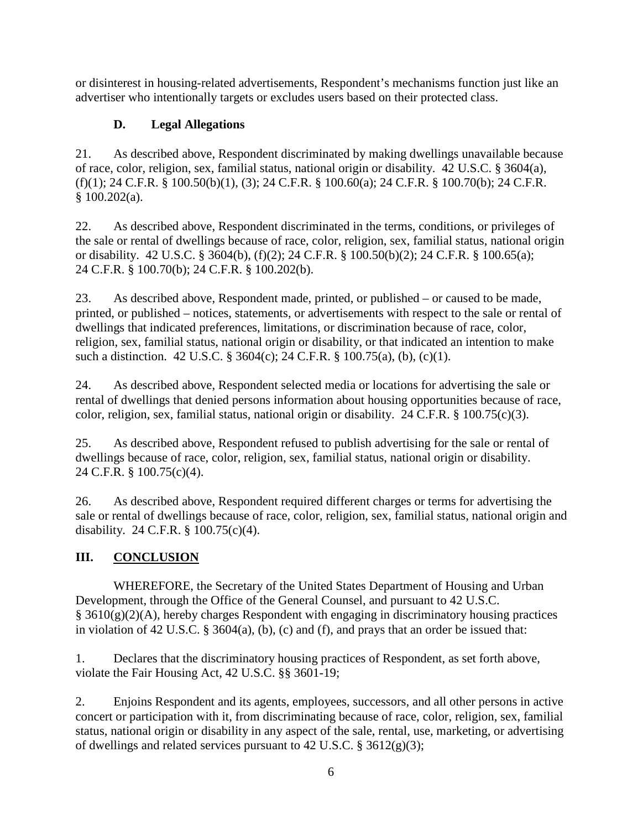or disinterest in housing-related advertisements, Respondent's mechanisms function just like an advertiser who intentionally targets or excludes users based on their protected class.

# **D. Legal Allegations**

21. As described above, Respondent discriminated by making dwellings unavailable because of race, color, religion, sex, familial status, national origin or disability. 42 U.S.C. § 3604(a),  $(f)(1)$ ; 24 C.F.R. § 100.50(b)(1), (3); 24 C.F.R. § 100.60(a); 24 C.F.R. § 100.70(b); 24 C.F.R. § 100.202(a).

22. As described above, Respondent discriminated in the terms, conditions, or privileges of the sale or rental of dwellings because of race, color, religion, sex, familial status, national origin or disability. 42 U.S.C. § 3604(b), (f)(2); 24 C.F.R. § 100.50(b)(2); 24 C.F.R. § 100.65(a); 24 C.F.R. § 100.70(b); 24 C.F.R. § 100.202(b).

23. As described above, Respondent made, printed, or published – or caused to be made, printed, or published – notices, statements, or advertisements with respect to the sale or rental of dwellings that indicated preferences, limitations, or discrimination because of race, color, religion, sex, familial status, national origin or disability, or that indicated an intention to make such a distinction. 42 U.S.C. § 3604(c); 24 C.F.R. § 100.75(a), (b), (c)(1).

24. As described above, Respondent selected media or locations for advertising the sale or rental of dwellings that denied persons information about housing opportunities because of race, color, religion, sex, familial status, national origin or disability. 24 C.F.R. § 100.75(c)(3).

25. As described above, Respondent refused to publish advertising for the sale or rental of dwellings because of race, color, religion, sex, familial status, national origin or disability. 24 C.F.R. § 100.75(c)(4).

26. As described above, Respondent required different charges or terms for advertising the sale or rental of dwellings because of race, color, religion, sex, familial status, national origin and disability. 24 C.F.R. § 100.75(c)(4).

# **III. CONCLUSION**

WHEREFORE, the Secretary of the United States Department of Housing and Urban Development, through the Office of the General Counsel, and pursuant to 42 U.S.C.  $§ 3610(g)(2)(A)$ , hereby charges Respondent with engaging in discriminatory housing practices in violation of 42 U.S.C. § 3604(a), (b), (c) and (f), and prays that an order be issued that:

1. Declares that the discriminatory housing practices of Respondent, as set forth above, violate the Fair Housing Act, 42 U.S.C. §§ 3601-19;

2. Enjoins Respondent and its agents, employees, successors, and all other persons in active concert or participation with it, from discriminating because of race, color, religion, sex, familial status, national origin or disability in any aspect of the sale, rental, use, marketing, or advertising of dwellings and related services pursuant to 42 U.S.C.  $\S$  3612(g)(3);